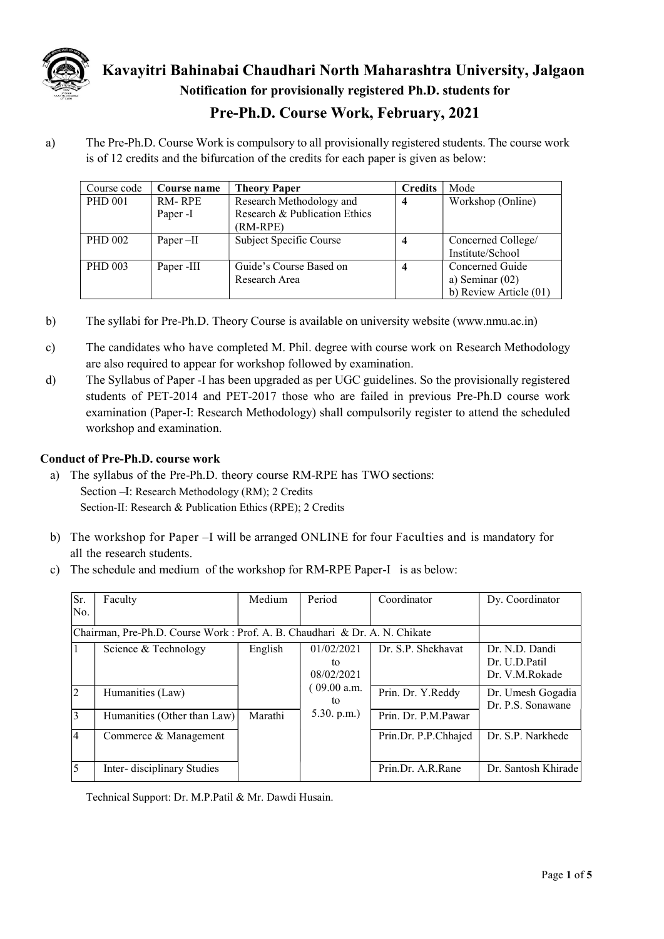

Kavayitri Bahinabai Chaudhari North Maharashtra University, Jalgaon Notification for provisionally registered Ph.D. students for

## Pre-Ph.D. Course Work, February, 2021

a) The Pre-Ph.D. Course Work is compulsory to all provisionally registered students. The course work is of 12 credits and the bifurcation of the credits for each paper is given as below:

| Course code    | Course name | <b>Theory Paper</b>           | <b>Credits</b>    | Mode                   |
|----------------|-------------|-------------------------------|-------------------|------------------------|
| <b>PHD 001</b> | RM-RPE      | Research Methodology and      | Workshop (Online) |                        |
|                | Paper -I    | Research & Publication Ethics |                   |                        |
|                |             | (RM-RPE)                      |                   |                        |
| <b>PHD 002</b> | Paper $-II$ | Subject Specific Course       |                   | Concerned College/     |
|                |             |                               |                   | Institute/School       |
| <b>PHD 003</b> | Paper -III  | Guide's Course Based on       |                   | Concerned Guide        |
|                |             | Research Area                 |                   | a) Seminar $(02)$      |
|                |             |                               |                   | b) Review Article (01) |

- b) The syllabi for Pre-Ph.D. Theory Course is available on university website (www.nmu.ac.in)
- c) The candidates who have completed M. Phil. degree with course work on Research Methodology are also required to appear for workshop followed by examination.
- d) The Syllabus of Paper -I has been upgraded as per UGC guidelines. So the provisionally registered students of PET-2014 and PET-2017 those who are failed in previous Pre-Ph.D course work examination (Paper-I: Research Methodology) shall compulsorily register to attend the scheduled workshop and examination.

## Conduct of Pre-Ph.D. course work

- a) The syllabus of the Pre-Ph.D. theory course RM-RPE has TWO sections: Section –I: Research Methodology (RM); 2 Credits Section-II: Research & Publication Ethics (RPE); 2 Credits
- b) The workshop for Paper –I will be arranged ONLINE for four Faculties and is mandatory for all the research students.
- c) The schedule and medium of the workshop for RM-RPE Paper-I is as below:

| Sr.            | Faculty                                                                     | Medium  | Period                         | Coordinator          | Dy. Coordinator                                   |
|----------------|-----------------------------------------------------------------------------|---------|--------------------------------|----------------------|---------------------------------------------------|
| lNo.           |                                                                             |         |                                |                      |                                                   |
|                | Chairman, Pre-Ph.D. Course Work : Prof. A. B. Chaudhari & Dr. A. N. Chikate |         |                                |                      |                                                   |
| 1              | Science & Technology                                                        | English | 01/02/2021<br>tο<br>08/02/2021 | Dr. S.P. Shekhavat   | Dr. N.D. Dandi<br>Dr. U.D.Patil<br>Dr. V.M.Rokade |
| 2              | Humanities (Law)                                                            |         | $109.00$ a.m.<br>to            | Prin. Dr. Y.Reddy    | Dr. Umesh Gogadia<br>Dr. P.S. Sonawane            |
| $\overline{3}$ | Humanities (Other than Law)                                                 | Marathi | 5.30. p.m.                     | Prin. Dr. P.M.Pawar  |                                                   |
| 14             | Commerce & Management                                                       |         |                                | Prin.Dr. P.P.Chhajed | Dr. S.P. Narkhede                                 |
| $\overline{5}$ | Inter-disciplinary Studies                                                  |         |                                | Prin.Dr. A.R.Rane    | Dr. Santosh Khirade                               |

Technical Support: Dr. M.P.Patil & Mr. Dawdi Husain.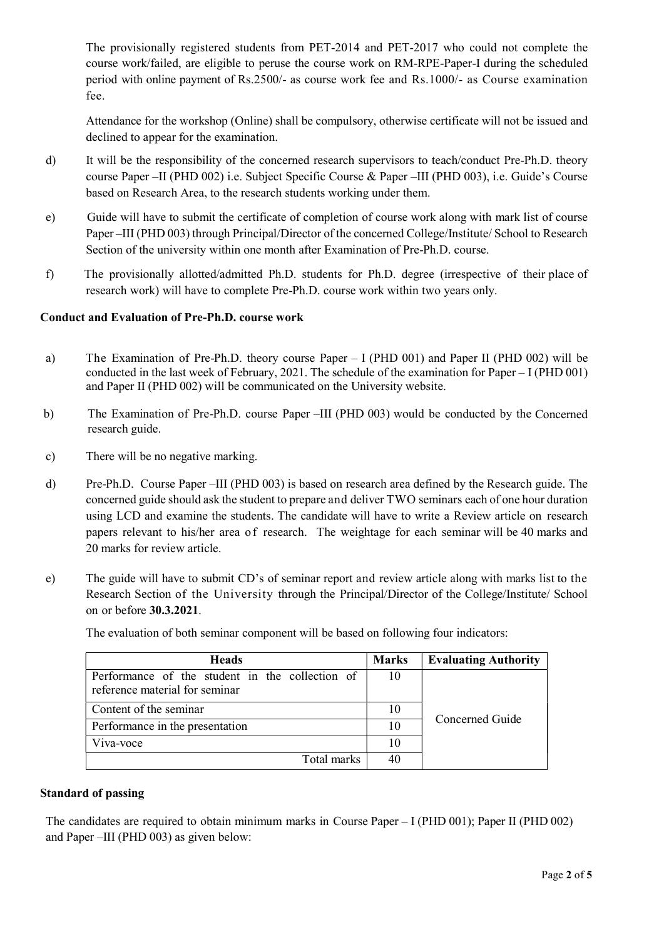The provisionally registered students from PET-2014 and PET-2017 who could not complete the course work/failed, are eligible to peruse the course work on RM-RPE-Paper-I during the scheduled period with online payment of Rs.2500/- as course work fee and Rs.1000/- as Course examination fee.

Attendance for the workshop (Online) shall be compulsory, otherwise certificate will not be issued and declined to appear for the examination.

- d) It will be the responsibility of the concerned research supervisors to teach/conduct Pre-Ph.D. theory course Paper –II (PHD 002) i.e. Subject Specific Course & Paper –III (PHD 003), i.e. Guide's Course based on Research Area, to the research students working under them.
- e) Guide will have to submit the certificate of completion of course work along with mark list of course Paper –III (PHD 003) through Principal/Director of the concerned College/Institute/ School to Research Section of the university within one month after Examination of Pre-Ph.D. course.
- f) The provisionally allotted/admitted Ph.D. students for Ph.D. degree (irrespective of their place of research work) will have to complete Pre-Ph.D. course work within two years only.

## Conduct and Evaluation of Pre-Ph.D. course work

- a) The Examination of Pre-Ph.D. theory course Paper I (PHD 001) and Paper II (PHD 002) will be conducted in the last week of February, 2021. The schedule of the examination for Paper – I (PHD 001) and Paper II (PHD 002) will be communicated on the University website.
- b) The Examination of Pre-Ph.D. course Paper –III (PHD 003) would be conducted by the Concerned research guide.
- c) There will be no negative marking.
- d) Pre-Ph.D. Course Paper –III (PHD 003) is based on research area defined by the Research guide. The concerned guide should ask the student to prepare and deliver TWO seminars each of one hour duration using LCD and examine the students. The candidate will have to write a Review article on research papers relevant to his/her area of research. The weightage for each seminar will be 40 marks and 20 marks for review article.
- e) The guide will have to submit CD's of seminar report and review article along with marks list to the Research Section of the University through the Principal/Director of the College/Institute/ School on or before 30.3.2021.

| <b>Heads</b>                                                                      | <b>Marks</b> | <b>Evaluating Authority</b> |  |
|-----------------------------------------------------------------------------------|--------------|-----------------------------|--|
| Performance of the student in the collection of<br>reference material for seminar | 10           |                             |  |
| Content of the seminar                                                            | 10           |                             |  |
| Performance in the presentation                                                   | 10           | Concerned Guide             |  |
| Viva-voce                                                                         | 10           |                             |  |
| Total marks                                                                       |              |                             |  |

The evaluation of both seminar component will be based on following four indicators:

### Standard of passing

The candidates are required to obtain minimum marks in Course Paper – I (PHD 001); Paper II (PHD 002) and Paper –III (PHD 003) as given below: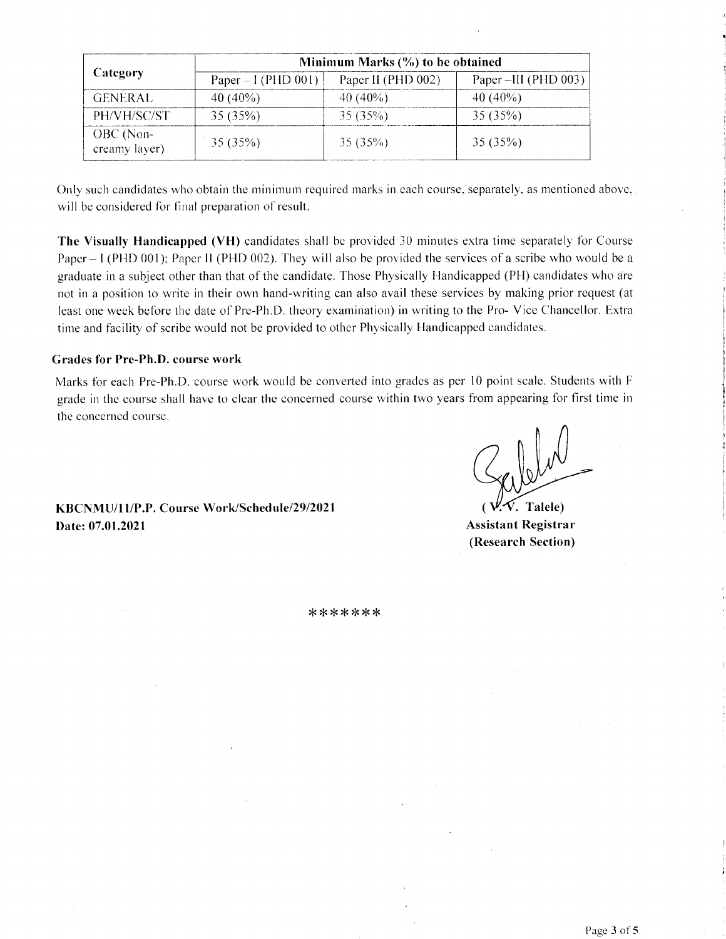|                            | Minimum Marks $(\% )$ to be obtained |                    |                                       |  |  |  |  |  |
|----------------------------|--------------------------------------|--------------------|---------------------------------------|--|--|--|--|--|
| Category                   | Paper $-1$ (PHD 001)                 | Paper II (PHD 002) | $\text{Paper } -\text{III (PHD 003)}$ |  |  |  |  |  |
| <b>GENERAL</b>             | 40 $(40\%)$                          | $40(40\%)$         | $40(40\%)$                            |  |  |  |  |  |
| PH/VH/SC/ST                | 35 (35%)                             | 35 (35%)           | 35(35%)                               |  |  |  |  |  |
| OBC (Non-<br>creamy layer) | 35(35%)                              | 35(35%)            | 35(35%)                               |  |  |  |  |  |

Only such candidates who obtain the minimum required marks in each course, separately, as mentioned above, will be considered for final preparation of result.

The Visually Handicapped (VH) candidates shall be provided 30 minutes extra time separately for Course Paper – I (PHD 001); Paper II (PHD 002). They will also be provided the services of a scribe who would be a graduate in a subject other than that of the candidate. Those Physically Handicapped (PH) candidates who are not in a position to write in their own hand-writing can also avail these services by making prior request (at least one week before the date of Pre-Ph.D. theory examination) in writing to the Pro-Vice Chancellor. Extra time and facility of scribe would not be provided to other Physically Handicapped candidates.

### **Grades for Pre-Ph.D. course work**

Marks for each Pre-Ph.D. course work would be converted into grades as per 10 point scale. Students with F grade in the course shall have to clear the concerned course within two years from appearing for first time in the concerned course.

V. Talele)

KBCNMU/11/P.P. Course Work/Schedule/29/2021 Date: 07.01.2021

**Assistant Registrar** (Research Section)

\*\*\*\*\*\*\*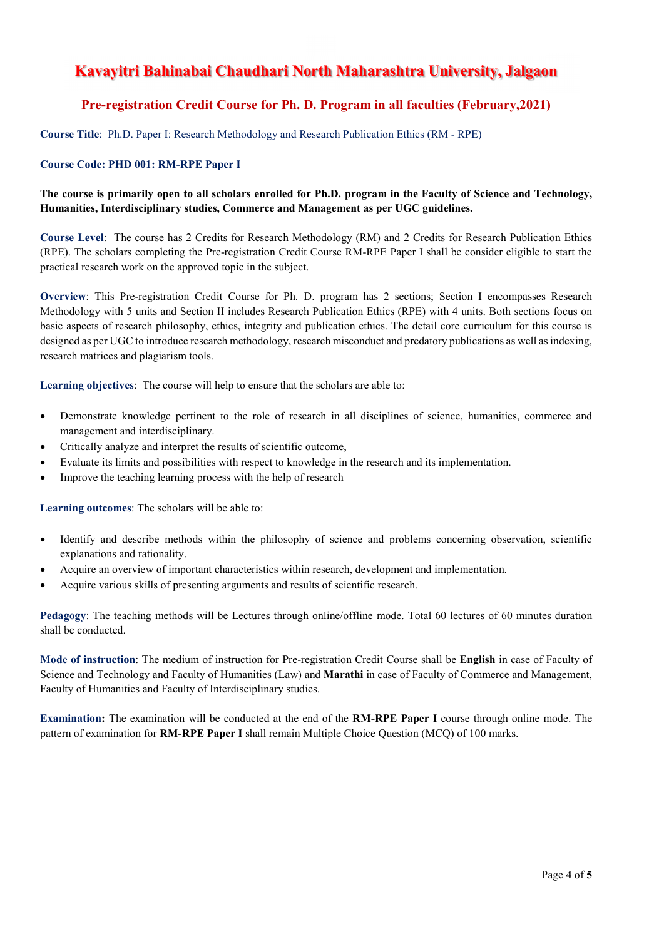# Kavayitri Bahinabai Chaudhari North Maharashtra University, Jalgaon

## Pre-registration Credit Course for Ph. D. Program in all faculties (February,2021)

Course Title: Ph.D. Paper I: Research Methodology and Research Publication Ethics (RM - RPE)

### Course Code: PHD 001: RM-RPE Paper I

### The course is primarily open to all scholars enrolled for Ph.D. program in the Faculty of Science and Technology, Humanities, Interdisciplinary studies, Commerce and Management as per UGC guidelines.

Course Level: The course has 2 Credits for Research Methodology (RM) and 2 Credits for Research Publication Ethics (RPE). The scholars completing the Pre-registration Credit Course RM-RPE Paper I shall be consider eligible to start the practical research work on the approved topic in the subject.

Overview: This Pre-registration Credit Course for Ph. D. program has 2 sections; Section I encompasses Research Methodology with 5 units and Section II includes Research Publication Ethics (RPE) with 4 units. Both sections focus on basic aspects of research philosophy, ethics, integrity and publication ethics. The detail core curriculum for this course is designed as per UGC to introduce research methodology, research misconduct and predatory publications as well as indexing, research matrices and plagiarism tools.

Learning objectives: The course will help to ensure that the scholars are able to:

- Demonstrate knowledge pertinent to the role of research in all disciplines of science, humanities, commerce and management and interdisciplinary.
- Critically analyze and interpret the results of scientific outcome,
- Evaluate its limits and possibilities with respect to knowledge in the research and its implementation.
- Improve the teaching learning process with the help of research

Learning outcomes: The scholars will be able to:

- Identify and describe methods within the philosophy of science and problems concerning observation, scientific explanations and rationality.
- Acquire an overview of important characteristics within research, development and implementation.
- Acquire various skills of presenting arguments and results of scientific research.

Pedagogy: The teaching methods will be Lectures through online/offline mode. Total 60 lectures of 60 minutes duration shall be conducted.

Mode of instruction: The medium of instruction for Pre-registration Credit Course shall be English in case of Faculty of Science and Technology and Faculty of Humanities (Law) and Marathi in case of Faculty of Commerce and Management, Faculty of Humanities and Faculty of Interdisciplinary studies.

Examination: The examination will be conducted at the end of the RM-RPE Paper I course through online mode. The pattern of examination for RM-RPE Paper I shall remain Multiple Choice Question (MCQ) of 100 marks.